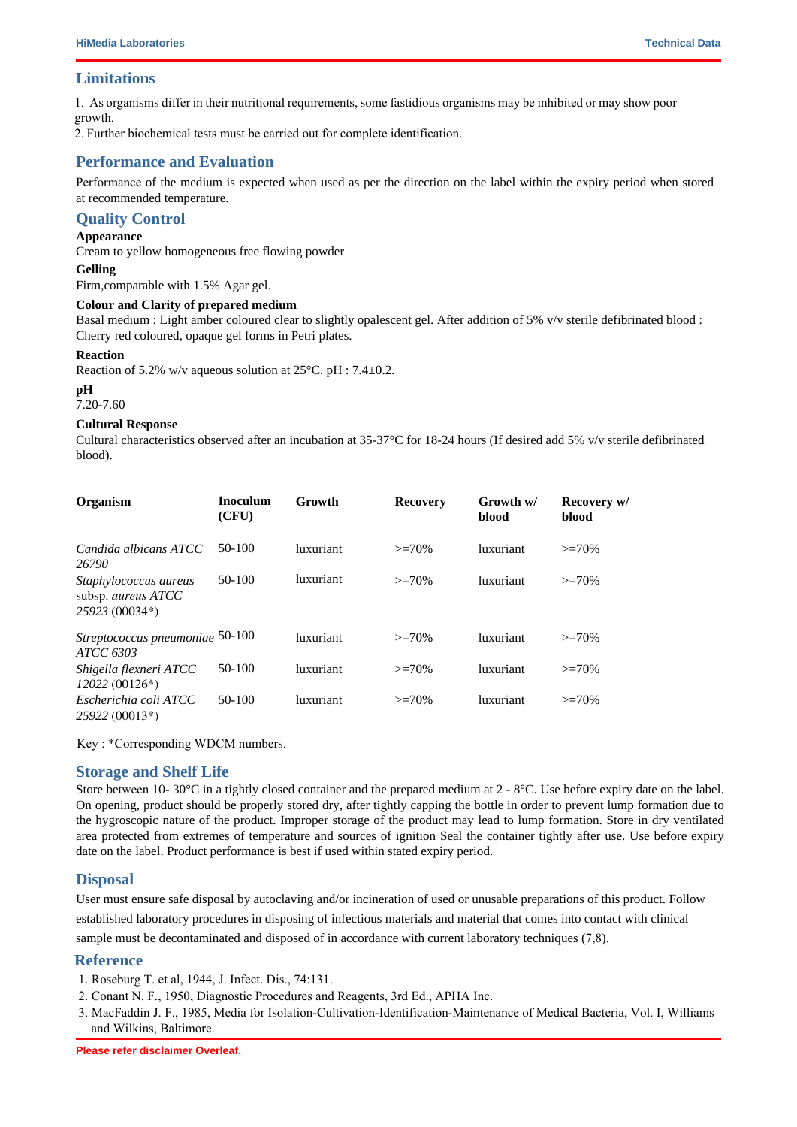## **Limitations**

As organisms differ in their nutritional requirements, some fastidious organisms may be inhibited or may show poor growth.

2. Further biochemical and serological tests must be carried out for complete identification.

## **Performance and Evaluation**

Performance of the medium is expected when used as per the direction on the label within the expiry period when stored at recommended temperature.

# **Quality Control**

# **Appearance**

Cream to yellow homogeneous free flowing powder

#### **Gelling**

Firm,comparable with 1.5% Agar gel.

#### **Colour and Clarity of prepared medium**

Basal medium : Light amber coloured clear to slightly opalescent gel. After addition of 5% v/v sterile defibrinated blood : Cherry red coloured, opaque gel forms in Petri plates.

#### **Reaction**

Reaction of 5.2% w/v aqueous solution at  $25^{\circ}$ C. pH : 7.4 $\pm$ 0.2.

## **pH**

7.20-7.60

## **Cultural Response**

Cultural characteristics observed after an incubation at  $35{\text -}37^{\circ}\text{C}$  for 18-24 hours (If desired add 5% v/v sterile defibrinated blood).

| Organism                                                      | <b>Inoculum</b><br>(CFU) | Growth    | <b>Recovery</b> | Growth w/<br>blood | Recovery w/<br>blood |
|---------------------------------------------------------------|--------------------------|-----------|-----------------|--------------------|----------------------|
| Candida albicans ATCC<br>26790                                | 50-100                   | luxuriant | $>=70%$         | luxuriant          | $>=70%$              |
| Staphylococcus aureus<br>subsp. aureus ATCC<br>25923 (00034*) | $50-100$                 | luxuriant | $>=70%$         | luxuriant          | $>=70%$              |
| Streptococcus pneumoniae 50-100<br>ATCC 6303                  |                          | luxuriant | $>=70%$         | luxuriant          | $>=70%$              |
| Shigella flexneri ATCC<br>$12022(00126*)$                     | $50-100$                 | luxuriant | $>=70%$         | luxuriant          | $>=70%$              |
| Escherichia coli ATCC<br>25922 (00013*)                       | $50-100$                 | luxuriant | $>=70%$         | <i>luxuriant</i>   | $>=70%$              |

Key : \*Corresponding WDCM numbers.

## **Storage and Shelf Life**

Store between 10- 30 $\degree$ C in a tightly closed container and the prepared medium at 2 - 8 $\degree$ C. Use before expiry date on the label. On opening, product should be properly stored dry, after tightly capping the bottle in order to prevent lump formation due to the hygroscopic nature of the product. Improper storage of the product may lead to lump formation. Store in dry ventilated area protected from extremes of temperature and sources of ignition Seal the container tightly after use. Use before expiry date on the label. Product performance is best if used within stated expiry period.

# **Disposal**

User must ensure safe disposal by autoclaving and/or incineration of used or unusable preparations of this product. Follow established laboratory procedures in disposing of infectious materials and material that comes into contact with clinical sample must be decontaminated and disposed of in accordance with current laboratory techniques (7,8).

## **Reference**

- 1. Roseburg T. et al, 1944, J. Infect. Dis., 74:131.
- 2. Conant N. F., 1950, Diagnostic Procedures and Reagents, 3rd Ed., APHA Inc.
- 3. MacFaddin J. F., 1985, Media for Isolation-Cultivation-Identification-Maintenance of Medical Bacteria, Vol. I, Williams and Wilkins, Baltimore.
- 4. Creitz and Puckett, 1954, Am. J. Clin. Pathol., 24:1318.
- 5. Murray P. R., Baron J. H., Pfaller M. A., Jorgensen J. H. and Yolken R. H., (Eds.), 2003, Manual of Clinical Microbiology, 8th Ed., American Society for Microbiology, Washington, D.C.